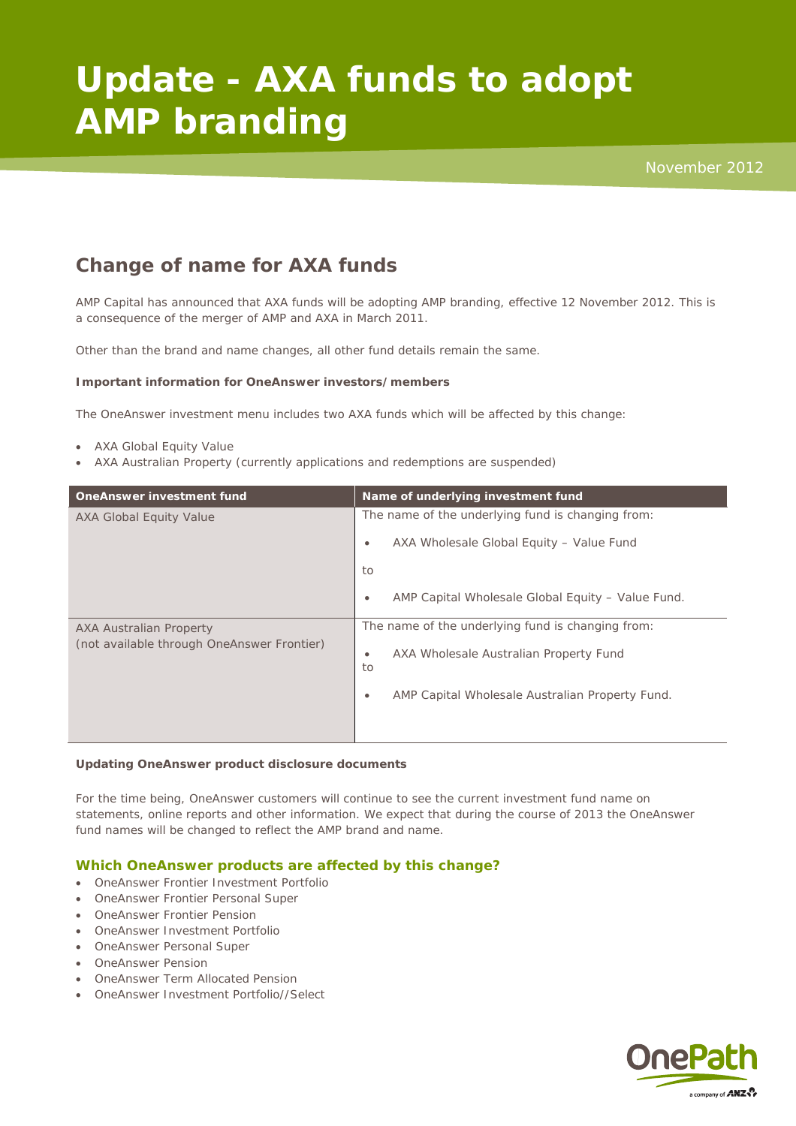# **Update - AXA funds to adopt AMP branding**

# **Change of name for AXA funds**

AMP Capital has announced that AXA funds will be adopting AMP branding, effective 12 November 2012. This is a consequence of the merger of AMP and AXA in March 2011.

Other than the brand and name changes, all other fund details remain the same.

## **Important information for OneAnswer investors/members**

The OneAnswer investment menu includes two AXA funds which will be affected by this change:

- AXA Global Equity Value
- AXA Australian Property (currently applications and redemptions are suspended)

| OneAnswer investment fund                                                    | Name of underlying investment fund                             |
|------------------------------------------------------------------------------|----------------------------------------------------------------|
| <b>AXA Global Equity Value</b>                                               | The name of the underlying fund is changing from:              |
|                                                                              | AXA Wholesale Global Equity - Value Fund<br>$\bullet$          |
|                                                                              | to                                                             |
|                                                                              | AMP Capital Wholesale Global Equity - Value Fund.<br>$\bullet$ |
| <b>AXA Australian Property</b><br>(not available through OneAnswer Frontier) | The name of the underlying fund is changing from:              |
|                                                                              | AXA Wholesale Australian Property Fund<br>٠<br>to              |
|                                                                              | AMP Capital Wholesale Australian Property Fund.<br>$\bullet$   |
|                                                                              |                                                                |

#### **Updating OneAnswer product disclosure documents**

For the time being, OneAnswer customers will continue to see the current investment fund name on statements, online reports and other information. We expect that during the course of 2013 the OneAnswer fund names will be changed to reflect the AMP brand and name.

# **Which OneAnswer products are affected by this change?**

- OneAnswer Frontier Investment Portfolio
- OneAnswer Frontier Personal Super
- OneAnswer Frontier Pension
- OneAnswer Investment Portfolio
- OneAnswer Personal Super
- OneAnswer Pension
- OneAnswer Term Allocated Pension
- OneAnswer Investment Portfolio//Select